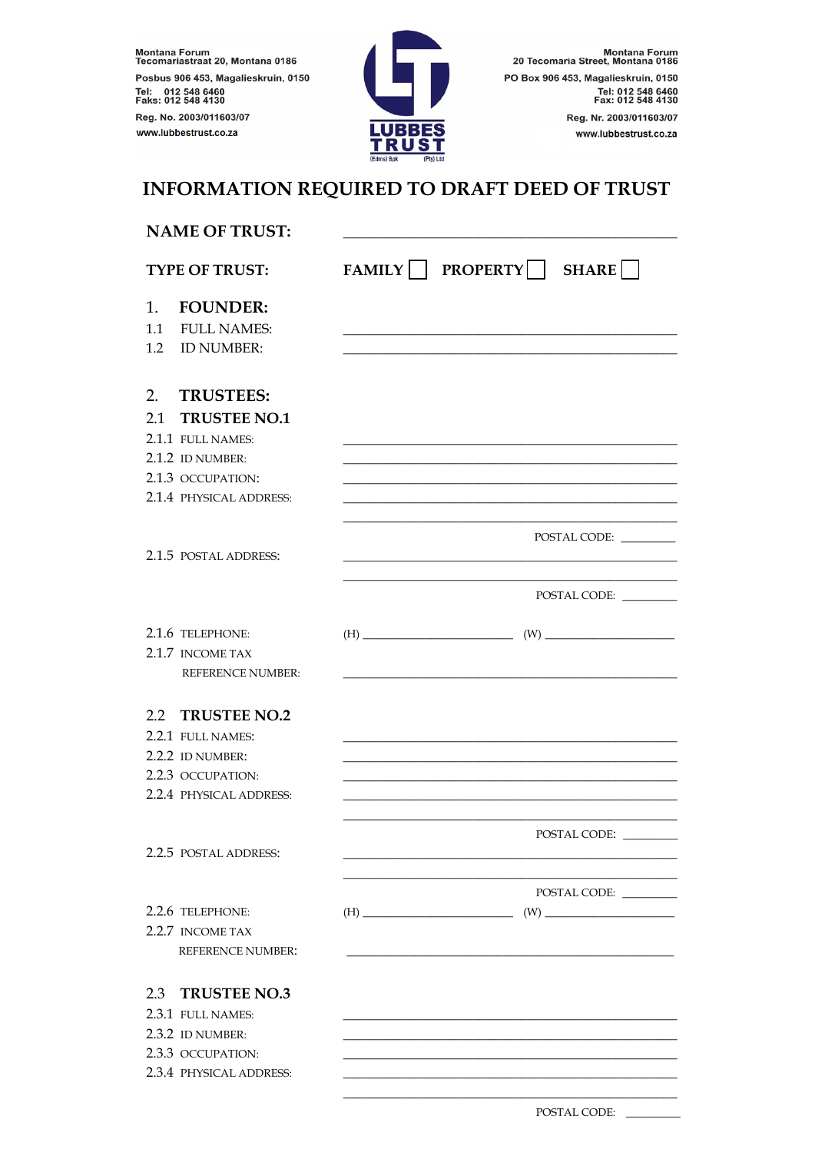Montana Forum<br>Tecomariastraat 20, Montana 0186 Posbus 906 453, Magalieskruin, 0150 Tel: 012 548 6460<br>Faks: 012 548 4130 Reg. No. 2003/011603/07 www.lubbestrust.co.za



POSTAL CODE:

## INFORMATION REQUIRED TO DRAFT DEED OF TRUST

| <b>NAME OF TRUST:</b> |                          |                                                                                                                                                                                                                                                                                                                                                                        |
|-----------------------|--------------------------|------------------------------------------------------------------------------------------------------------------------------------------------------------------------------------------------------------------------------------------------------------------------------------------------------------------------------------------------------------------------|
|                       | <b>TYPE OF TRUST:</b>    | FAMILY PROPERTY<br>SHARE                                                                                                                                                                                                                                                                                                                                               |
| 1.                    | <b>FOUNDER:</b>          |                                                                                                                                                                                                                                                                                                                                                                        |
| 1.1                   | <b>FULL NAMES:</b>       |                                                                                                                                                                                                                                                                                                                                                                        |
| 1.2                   | <b>ID NUMBER:</b>        |                                                                                                                                                                                                                                                                                                                                                                        |
| 2.                    | <b>TRUSTEES:</b>         |                                                                                                                                                                                                                                                                                                                                                                        |
| 2.1                   | <b>TRUSTEE NO.1</b>      |                                                                                                                                                                                                                                                                                                                                                                        |
|                       | 2.1.1 FULL NAMES:        |                                                                                                                                                                                                                                                                                                                                                                        |
|                       | 2.1.2 ID NUMBER:         |                                                                                                                                                                                                                                                                                                                                                                        |
|                       | 2.1.3 OCCUPATION:        |                                                                                                                                                                                                                                                                                                                                                                        |
|                       | 2.1.4 PHYSICAL ADDRESS:  |                                                                                                                                                                                                                                                                                                                                                                        |
|                       | 2.1.5 POSTAL ADDRESS:    | POSTAL CODE:                                                                                                                                                                                                                                                                                                                                                           |
|                       |                          | POSTAL CODE:                                                                                                                                                                                                                                                                                                                                                           |
|                       | 2.1.6 TELEPHONE:         | $\text{(H)} \begin{picture}(150,10) \put(0,0){\vector(1,0){100}} \put(15,0){\vector(1,0){100}} \put(15,0){\vector(1,0){100}} \put(15,0){\vector(1,0){100}} \put(15,0){\vector(1,0){100}} \put(15,0){\vector(1,0){100}} \put(15,0){\vector(1,0){100}} \put(15,0){\vector(1,0){100}} \put(15,0){\vector(1,0){100}} \put(15,0){\vector(1,0){100}} \put(15,0){\vector(1,0$ |
|                       | 2.1.7 INCOME TAX         |                                                                                                                                                                                                                                                                                                                                                                        |
|                       | <b>REFERENCE NUMBER:</b> |                                                                                                                                                                                                                                                                                                                                                                        |
|                       | 2.2 TRUSTEE NO.2         |                                                                                                                                                                                                                                                                                                                                                                        |
|                       | 2.2.1 FULL NAMES:        |                                                                                                                                                                                                                                                                                                                                                                        |
|                       | 2.2.2 ID NUMBER:         |                                                                                                                                                                                                                                                                                                                                                                        |
|                       | 2.2.3 OCCUPATION:        |                                                                                                                                                                                                                                                                                                                                                                        |
|                       | 2.2.4 PHYSICAL ADDRESS:  |                                                                                                                                                                                                                                                                                                                                                                        |
|                       | 2.2.5 POSTAL ADDRESS:    | POSTAL CODE:                                                                                                                                                                                                                                                                                                                                                           |
|                       |                          |                                                                                                                                                                                                                                                                                                                                                                        |
|                       |                          | POSTAL CODE:                                                                                                                                                                                                                                                                                                                                                           |
|                       | 2.2.6 TELEPHONE:         | $\text{(H)} \begin{picture}(150,10) \put(0,0){\vector(1,0){100}} \put(15,0){\vector(1,0){100}} \put(15,0){\vector(1,0){100}} \put(15,0){\vector(1,0){100}} \put(15,0){\vector(1,0){100}} \put(15,0){\vector(1,0){100}} \put(15,0){\vector(1,0){100}} \put(15,0){\vector(1,0){100}} \put(15,0){\vector(1,0){100}} \put(15,0){\vector(1,0){100}} \put(15,0){\vector(1,0$ |
|                       | 2.2.7 INCOME TAX         |                                                                                                                                                                                                                                                                                                                                                                        |
|                       | <b>REFERENCE NUMBER:</b> |                                                                                                                                                                                                                                                                                                                                                                        |
| 2.3                   | <b>TRUSTEE NO.3</b>      |                                                                                                                                                                                                                                                                                                                                                                        |
|                       | 2.3.1 FULL NAMES:        |                                                                                                                                                                                                                                                                                                                                                                        |
|                       | 2.3.2 ID NUMBER:         |                                                                                                                                                                                                                                                                                                                                                                        |
|                       | 2.3.3 OCCUPATION:        |                                                                                                                                                                                                                                                                                                                                                                        |
|                       | 2.3.4 PHYSICAL ADDRESS:  |                                                                                                                                                                                                                                                                                                                                                                        |
|                       |                          |                                                                                                                                                                                                                                                                                                                                                                        |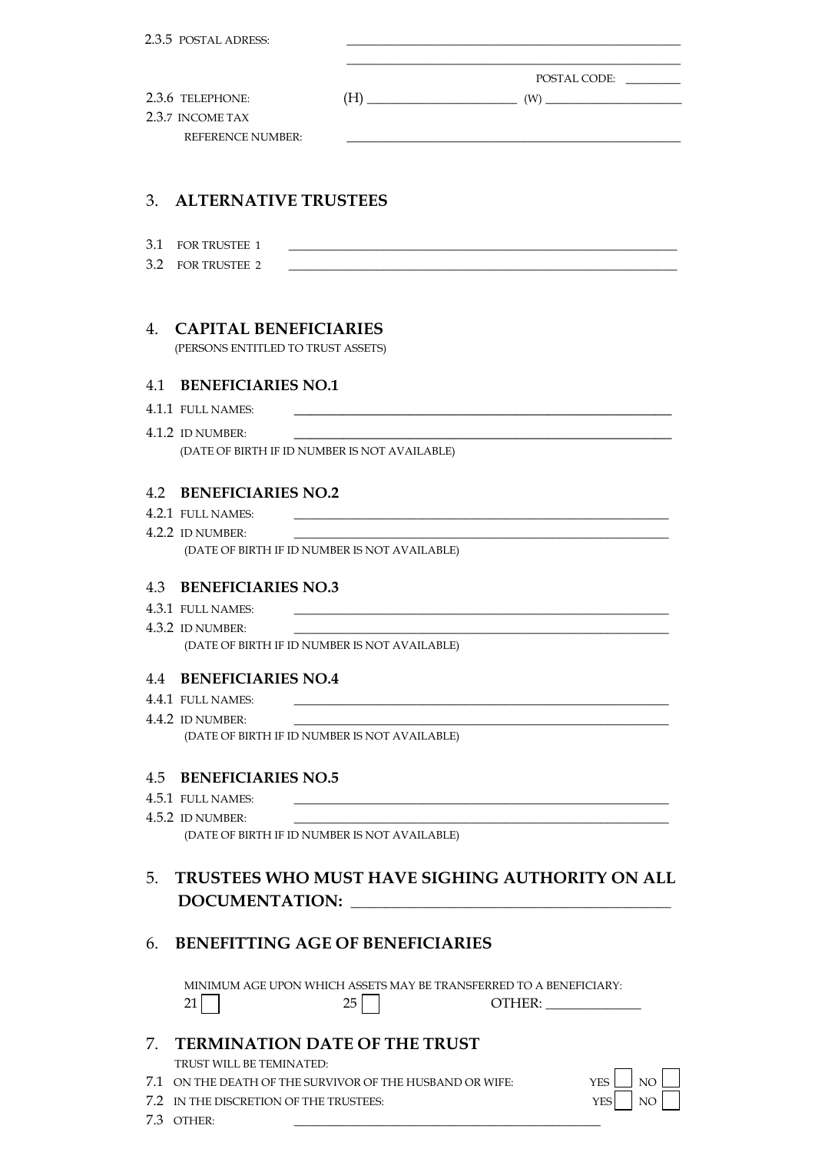| 2.3.5 POSTAL ADRESS:                                                                               |                                                                                                                        |                                                                                                                                                                                                                                                                                                                                                                         |
|----------------------------------------------------------------------------------------------------|------------------------------------------------------------------------------------------------------------------------|-------------------------------------------------------------------------------------------------------------------------------------------------------------------------------------------------------------------------------------------------------------------------------------------------------------------------------------------------------------------------|
|                                                                                                    |                                                                                                                        | POSTAL CODE:                                                                                                                                                                                                                                                                                                                                                            |
| 2.3.6 TELEPHONE:<br>2.3.7 INCOME TAX                                                               |                                                                                                                        | $\text{(H)} \begin{picture}(10,10) \put(0,0){\vector(1,0){100}} \put(15,0){\vector(1,0){100}} \put(15,0){\vector(1,0){100}} \put(15,0){\vector(1,0){100}} \put(15,0){\vector(1,0){100}} \put(15,0){\vector(1,0){100}} \put(15,0){\vector(1,0){100}} \put(15,0){\vector(1,0){100}} \put(15,0){\vector(1,0){100}} \put(15,0){\vector(1,0){100}} \put(15,0){\vector(1,0){$ |
| <b>REFERENCE NUMBER:</b>                                                                           |                                                                                                                        |                                                                                                                                                                                                                                                                                                                                                                         |
|                                                                                                    |                                                                                                                        |                                                                                                                                                                                                                                                                                                                                                                         |
| <b>ALTERNATIVE TRUSTEES</b><br>3.                                                                  |                                                                                                                        |                                                                                                                                                                                                                                                                                                                                                                         |
| 3.1<br><b>FOR TRUSTEE 1</b>                                                                        | <u> 1989 - Johann Barbara, markazar margolaria (h. 1989).</u>                                                          |                                                                                                                                                                                                                                                                                                                                                                         |
| 3.2<br><b>FOR TRUSTEE 2</b>                                                                        |                                                                                                                        |                                                                                                                                                                                                                                                                                                                                                                         |
|                                                                                                    |                                                                                                                        |                                                                                                                                                                                                                                                                                                                                                                         |
| <b>CAPITAL BENEFICIARIES</b><br>$\overline{4}$                                                     |                                                                                                                        |                                                                                                                                                                                                                                                                                                                                                                         |
| (PERSONS ENTITLED TO TRUST ASSETS)                                                                 |                                                                                                                        |                                                                                                                                                                                                                                                                                                                                                                         |
| <b>BENEFICIARIES NO.1</b><br>41                                                                    |                                                                                                                        |                                                                                                                                                                                                                                                                                                                                                                         |
| 4.1.1 FULL NAMES:                                                                                  | <u> 1989 - Johann John Stoff, deutscher Stoffen und der Stoffen und der Stoffen und der Stoffen und der Stoffen un</u> |                                                                                                                                                                                                                                                                                                                                                                         |
| 4.1.2 ID NUMBER:<br>(DATE OF BIRTH IF ID NUMBER IS NOT AVAILABLE)                                  |                                                                                                                        |                                                                                                                                                                                                                                                                                                                                                                         |
|                                                                                                    |                                                                                                                        |                                                                                                                                                                                                                                                                                                                                                                         |
| <b>BENEFICIARIES NO.2</b><br>4.2                                                                   |                                                                                                                        |                                                                                                                                                                                                                                                                                                                                                                         |
| 4.2.1 FULL NAMES:<br>4.2.2 ID NUMBER:                                                              |                                                                                                                        | <u> 1989 - Johann Stein, mars an de British Barbara (b. 1989)</u>                                                                                                                                                                                                                                                                                                       |
| (DATE OF BIRTH IF ID NUMBER IS NOT AVAILABLE)                                                      |                                                                                                                        |                                                                                                                                                                                                                                                                                                                                                                         |
|                                                                                                    |                                                                                                                        |                                                                                                                                                                                                                                                                                                                                                                         |
| <b>BENEFICIARIES NO.3</b><br>4.3<br>4.3.1 FULL NAMES:                                              |                                                                                                                        |                                                                                                                                                                                                                                                                                                                                                                         |
| 4.3.2 ID NUMBER:                                                                                   |                                                                                                                        |                                                                                                                                                                                                                                                                                                                                                                         |
| (DATE OF BIRTH IF ID NUMBER IS NOT AVAILABLE)                                                      |                                                                                                                        |                                                                                                                                                                                                                                                                                                                                                                         |
| <b>4.4 BENEFICIARIES NO.4</b>                                                                      |                                                                                                                        |                                                                                                                                                                                                                                                                                                                                                                         |
| 4.4.1 FULL NAMES:                                                                                  |                                                                                                                        |                                                                                                                                                                                                                                                                                                                                                                         |
| 4.4.2 ID NUMBER:<br>(DATE OF BIRTH IF ID NUMBER IS NOT AVAILABLE)                                  |                                                                                                                        |                                                                                                                                                                                                                                                                                                                                                                         |
|                                                                                                    |                                                                                                                        |                                                                                                                                                                                                                                                                                                                                                                         |
| 4.5 BENEFICIARIES NO.5                                                                             |                                                                                                                        |                                                                                                                                                                                                                                                                                                                                                                         |
| 4.5.1 FULL NAMES:                                                                                  |                                                                                                                        |                                                                                                                                                                                                                                                                                                                                                                         |
| 4.5.2 ID NUMBER:<br>(DATE OF BIRTH IF ID NUMBER IS NOT AVAILABLE)                                  |                                                                                                                        |                                                                                                                                                                                                                                                                                                                                                                         |
|                                                                                                    |                                                                                                                        |                                                                                                                                                                                                                                                                                                                                                                         |
| 5.                                                                                                 |                                                                                                                        | TRUSTEES WHO MUST HAVE SIGHING AUTHORITY ON ALL                                                                                                                                                                                                                                                                                                                         |
|                                                                                                    |                                                                                                                        |                                                                                                                                                                                                                                                                                                                                                                         |
| 6.                                                                                                 | <b>BENEFITTING AGE OF BENEFICIARIES</b>                                                                                |                                                                                                                                                                                                                                                                                                                                                                         |
| 21                                                                                                 | MINIMUM AGE UPON WHICH ASSETS MAY BE TRANSFERRED TO A BENEFICIARY:<br>25                                               |                                                                                                                                                                                                                                                                                                                                                                         |
| <b>TERMINATION DATE OF THE TRUST</b><br>7.                                                         |                                                                                                                        |                                                                                                                                                                                                                                                                                                                                                                         |
| TRUST WILL BE TEMINATED:                                                                           |                                                                                                                        |                                                                                                                                                                                                                                                                                                                                                                         |
| 7.1 ON THE DEATH OF THE SURVIVOR OF THE HUSBAND OR WIFE:<br>7.2 IN THE DISCRETION OF THE TRUSTEES: |                                                                                                                        | NO<br><b>YES</b><br><b>YES</b><br>NO                                                                                                                                                                                                                                                                                                                                    |
|                                                                                                    |                                                                                                                        |                                                                                                                                                                                                                                                                                                                                                                         |

7.3 OTHER: \_\_\_\_\_\_\_\_\_\_\_\_\_\_\_\_\_\_\_\_\_\_\_\_\_\_\_\_\_\_\_\_\_\_\_\_\_\_\_\_\_\_\_\_\_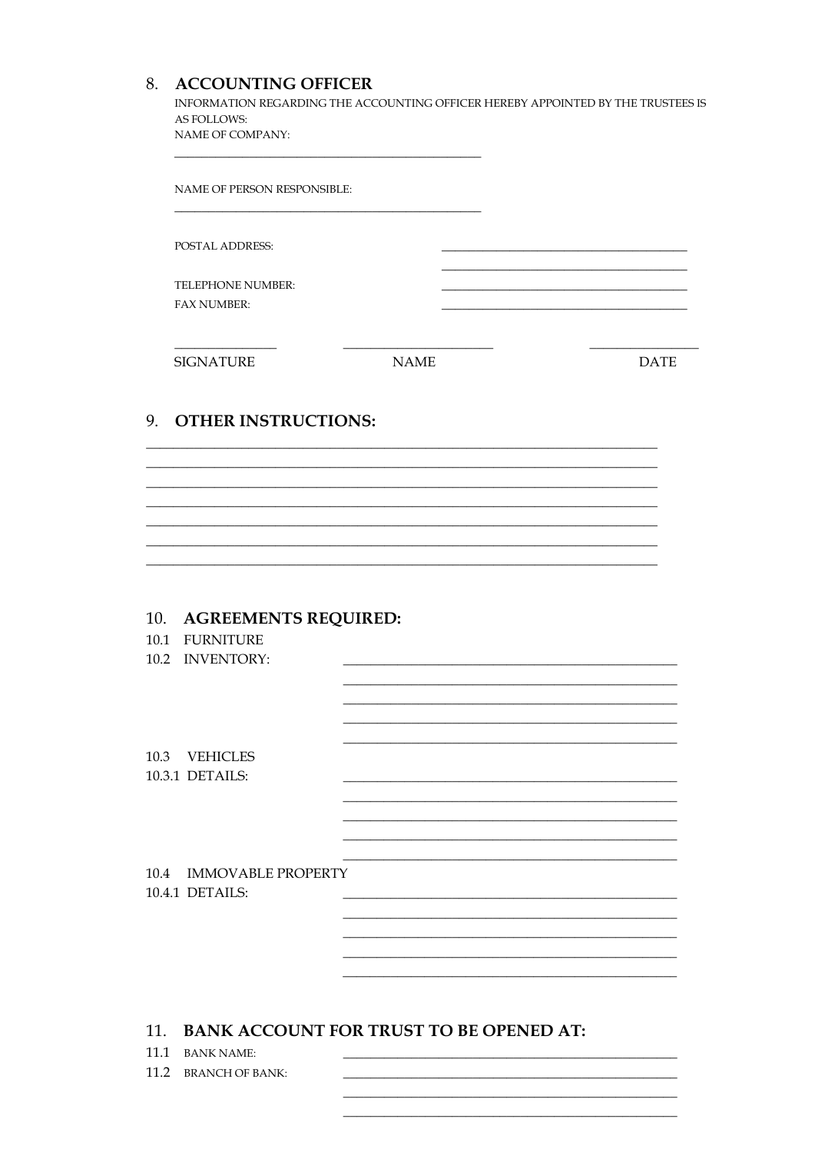## 8. ACCOUNTING OFFICER

INFORMATION REGARDING THE ACCOUNTING OFFICER HEREBY APPOINTED BY THE TRUSTEES IS AS FOLLOWS: NAME OF COMPANY:

|              | NAME OF PERSON RESPONSIBLE:                                   |             |             |
|--------------|---------------------------------------------------------------|-------------|-------------|
|              | <b>POSTAL ADDRESS:</b>                                        |             |             |
|              | TELEPHONE NUMBER:<br>FAX NUMBER:                              |             |             |
|              | <b>SIGNATURE</b>                                              | <b>NAME</b> | <b>DATE</b> |
| 9.           | <b>OTHER INSTRUCTIONS:</b>                                    |             |             |
|              |                                                               |             |             |
|              |                                                               |             |             |
|              |                                                               |             |             |
|              | 10. AGREEMENTS REQUIRED:<br>10.1 FURNITURE<br>10.2 INVENTORY: |             |             |
|              |                                                               |             |             |
| 10.3         | <b>VEHICLES</b><br>10.3.1 DETAILS:                            |             |             |
| 10.4         | <b>IMMOVABLE PROPERTY</b><br>10.4.1 DETAILS:                  |             |             |
|              |                                                               |             |             |
| 11.          | <b>BANK ACCOUNT FOR TRUST TO BE OPENED AT:</b>                |             |             |
| 11.1<br>11.2 | <b>BANK NAME:</b><br><b>BRANCH OF BANK:</b>                   |             |             |